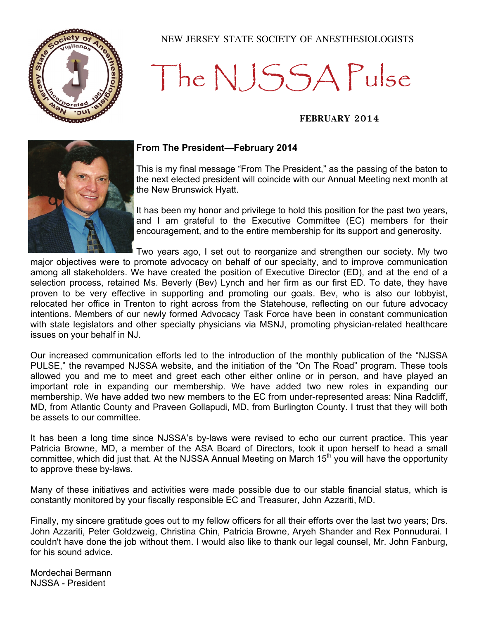

### NEW JERSEY STATE SOCIETY OF ANESTHESIOLOGISTS

# The NJSSA Pulse

### **FEBRUARY 2014**



### **From The President—February 2014**

This is my final message "From The President," as the passing of the baton to the next elected president will coincide with our Annual Meeting next month at the New Brunswick Hyatt.

It has been my honor and privilege to hold this position for the past two years, and I am grateful to the Executive Committee (EC) members for their encouragement, and to the entire membership for its support and generosity.

Two years ago, I set out to reorganize and strengthen our society. My two major objectives were to promote advocacy on behalf of our specialty, and to improve communication among all stakeholders. We have created the position of Executive Director (ED), and at the end of a selection process, retained Ms. Beverly (Bev) Lynch and her firm as our first ED. To date, they have proven to be very effective in supporting and promoting our goals. Bev, who is also our lobbyist, relocated her office in Trenton to right across from the Statehouse, reflecting on our future advocacy intentions. Members of our newly formed Advocacy Task Force have been in constant communication with state legislators and other specialty physicians via MSNJ, promoting physician-related healthcare issues on your behalf in NJ.

Our increased communication efforts led to the introduction of the monthly publication of the "NJSSA PULSE," the revamped NJSSA website, and the initiation of the "On The Road" program. These tools allowed you and me to meet and greet each other either online or in person, and have played an important role in expanding our membership. We have added two new roles in expanding our membership. We have added two new members to the EC from under-represented areas: Nina Radcliff, MD, from Atlantic County and Praveen Gollapudi, MD, from Burlington County. I trust that they will both be assets to our committee.

It has been a long time since NJSSA's by-laws were revised to echo our current practice. This year Patricia Browne, MD, a member of the ASA Board of Directors, took it upon herself to head a small committee, which did just that. At the NJSSA Annual Meeting on March 15<sup>th</sup> you will have the opportunity to approve these by-laws.

Many of these initiatives and activities were made possible due to our stable financial status, which is constantly monitored by your fiscally responsible EC and Treasurer, John Azzariti, MD.

Finally, my sincere gratitude goes out to my fellow officers for all their efforts over the last two years; Drs. John Azzariti, Peter Goldzweig, Christina Chin, Patricia Browne, Aryeh Shander and Rex Ponnudurai. I couldn't have done the job without them. I would also like to thank our legal counsel, Mr. John Fanburg, for his sound advice.

Mordechai Bermann NJSSA - President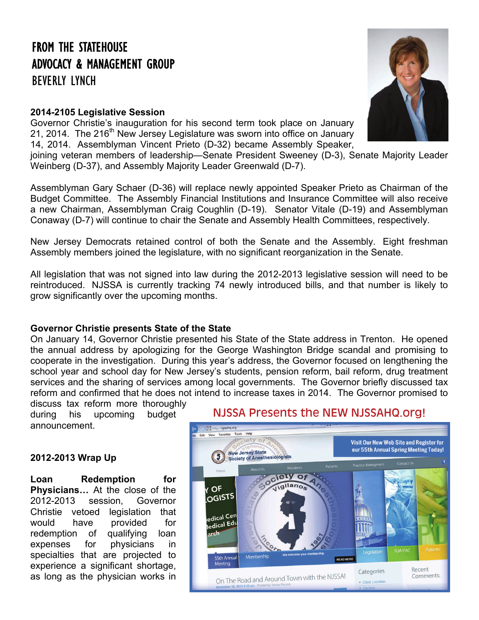# FROM THE STATEHOUSE ADVOCACY & MANAGEMENT GROUP

BEVERLY LYNCH

### **2014-2105 Legislative Session**

Governor Christie's inauguration for his second term took place on January 21, 2014. The 216<sup>th</sup> New Jersey Legislature was sworn into office on January 14, 2014. Assemblyman Vincent Prieto (D-32) became Assembly Speaker,

joining veteran members of leadership—Senate President Sweeney (D-3), Senate Majority Leader Weinberg (D-37), and Assembly Majority Leader Greenwald (D-7).

Assemblyman Gary Schaer (D-36) will replace newly appointed Speaker Prieto as Chairman of the Budget Committee. The Assembly Financial Institutions and Insurance Committee will also receive a new Chairman, Assemblyman Craig Coughlin (D-19). Senator Vitale (D-19) and Assemblyman Conaway (D-7) will continue to chair the Senate and Assembly Health Committees, respectively.

New Jersey Democrats retained control of both the Senate and the Assembly. Eight freshman Assembly members joined the legislature, with no significant reorganization in the Senate.

All legislation that was not signed into law during the 2012-2013 legislative session will need to be reintroduced. NJSSA is currently tracking 74 newly introduced bills, and that number is likely to grow significantly over the upcoming months.

### **Governor Christie presents State of the State**

On January 14, Governor Christie presented his State of the State address in Trenton. He opened the annual address by apologizing for the George Washington Bridge scandal and promising to cooperate in the investigation. During this year's address, the Governor focused on lengthening the school year and school day for New Jersey's students, pension reform, bail reform, drug treatment services and the sharing of services among local governments. The Governor briefly discussed tax reform and confirmed that he does not intend to increase taxes in 2014. The Governor promised to

discuss tax reform more thoroughly during his upcoming budget announcement.

### **2012-2013 Wrap Up**

**Loan Redemption for Physicians…** At the close of the 2012-2013 session, Governor Christie vetoed legislation that would have provided for redemption of qualifying loan expenses for physicians in specialties that are projected to experience a significant shortage, as long as the physician works in

### NJSSA Presents the NEW [NJSSAHQ.org!](http://njssahq.org/)



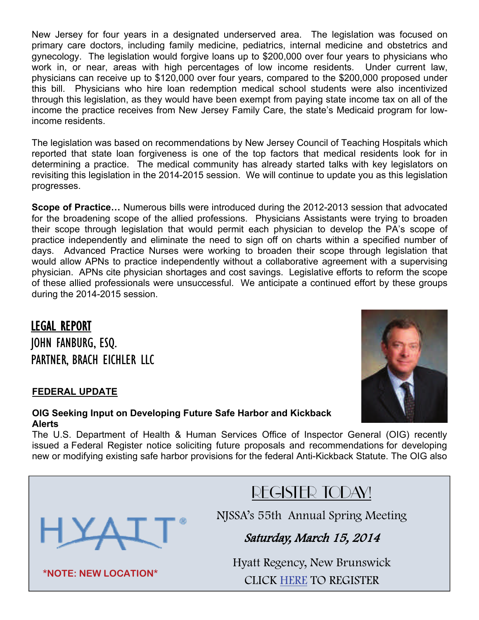New Jersey for four years in a designated underserved area. The legislation was focused on primary care doctors, including family medicine, pediatrics, internal medicine and obstetrics and gynecology. The legislation would forgive loans up to \$200,000 over four years to physicians who work in, or near, areas with high percentages of low income residents. Under current law, physicians can receive up to \$120,000 over four years, compared to the \$200,000 proposed under this bill. Physicians who hire loan redemption medical school students were also incentivized through this legislation, as they would have been exempt from paying state income tax on all of the income the practice receives from New Jersey Family Care, the state's Medicaid program for lowincome residents.

The legislation was based on recommendations by New Jersey Council of Teaching Hospitals which reported that state loan forgiveness is one of the top factors that medical residents look for in determining a practice. The medical community has already started talks with key legislators on revisiting this legislation in the 2014-2015 session. We will continue to update you as this legislation progresses.

**Scope of Practice…** Numerous bills were introduced during the 2012-2013 session that advocated for the broadening scope of the allied professions. Physicians Assistants were trying to broaden their scope through legislation that would permit each physician to develop the PA's scope of practice independently and eliminate the need to sign off on charts within a specified number of days. Advanced Practice Nurses were working to broaden their scope through legislation that would allow APNs to practice independently without a collaborative agreement with a supervising physician. APNs cite physician shortages and cost savings. Legislative efforts to reform the scope of these allied professionals were unsuccessful. We anticipate a continued effort by these groups during the 2014-2015 session.

### LEGAL REPORT JOHN FANBURG, ESQ. PARTNER, BRACH EICHLER LLC

### **FEDERAL UPDATE**

### **OIG Seeking Input on Developing Future Safe Harbor and Kickback Alerts**

The U.S. Department of Health & Human Services Office of Inspector General (OIG) recently issued a Federal Register notice soliciting future proposals and recommendations for developing new or modifying existing safe harbor provisions for the federal Anti-Kickback Statute. The OIG also

## REGISTER TODAY!

NJSSA's 55th Annual Spring Meeting

### Saturday, March 15, 2014

Hyatt Regency, New Brunswick CLICK [HERE](http://www.njssameeting.com/register.html) TO REGISTER



HYA:

**\*NOTE: NEW LOCATION\***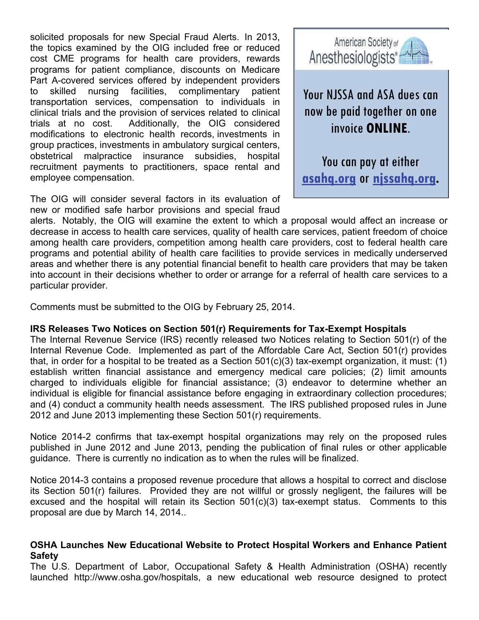solicited proposals for new Special Fraud Alerts. In 2013, the topics examined by the OIG included free or reduced cost CME programs for health care providers, rewards programs for patient compliance, discounts on Medicare Part A-covered services offered by independent providers to skilled nursing facilities, complimentary patient transportation services, compensation to individuals in clinical trials and the provision of services related to clinical trials at no cost. Additionally, the OIG considered modifications to electronic health records, investments in group practices, investments in ambulatory surgical centers, obstetrical malpractice insurance subsidies, hospital recruitment payments to practitioners, space rental and employee compensation.

The OIG will consider several factors in its evaluation of new or modified safe harbor provisions and special fraud



Your NJSSA and ASA dues can now be paid together on one invoice **ONLINE**.

You can pay at either **[asahq.org](http://www.asahq.org)** or **[njssahq.org.](http://www.njssahq.org)**

alerts. Notably, the OIG will examine the extent to which a proposal would affect an increase or decrease in access to health care services, quality of health care services, patient freedom of choice among health care providers, competition among health care providers, cost to federal health care programs and potential ability of health care facilities to provide services in medically underserved areas and whether there is any potential financial benefit to health care providers that may be taken into account in their decisions whether to order or arrange for a referral of health care services to a particular provider.

Comments must be submitted to the OIG by February 25, 2014.

### **IRS Releases Two Notices on Section 501(r) Requirements for Tax-Exempt Hospitals**

The Internal Revenue Service (IRS) recently released two Notices relating to Section 501(r) of the Internal Revenue Code. Implemented as part of the Affordable Care Act, Section 501(r) provides that, in order for a hospital to be treated as a Section 501(c)(3) tax-exempt organization, it must: (1) establish written financial assistance and emergency medical care policies; (2) limit amounts charged to individuals eligible for financial assistance; (3) endeavor to determine whether an individual is eligible for financial assistance before engaging in extraordinary collection procedures; and (4) conduct a community health needs assessment. The IRS published proposed rules in June 2012 and June 2013 implementing these Section 501(r) requirements.

Notice 2014-2 confirms that tax-exempt hospital organizations may rely on the proposed rules published in June 2012 and June 2013, pending the publication of final rules or other applicable guidance. There is currently no indication as to when the rules will be finalized.

Notice 2014-3 contains a proposed revenue procedure that allows a hospital to correct and disclose its Section 501(r) failures. Provided they are not willful or grossly negligent, the failures will be excused and the hospital will retain its Section 501(c)(3) tax-exempt status. Comments to this proposal are due by March 14, 2014..

### **OSHA Launches New Educational Website to Protect Hospital Workers and Enhance Patient Safety**

The U.S. Department of Labor, Occupational Safety & Health Administration (OSHA) recently launched http://www.osha.gov/hospitals, a new educational web resource designed to protect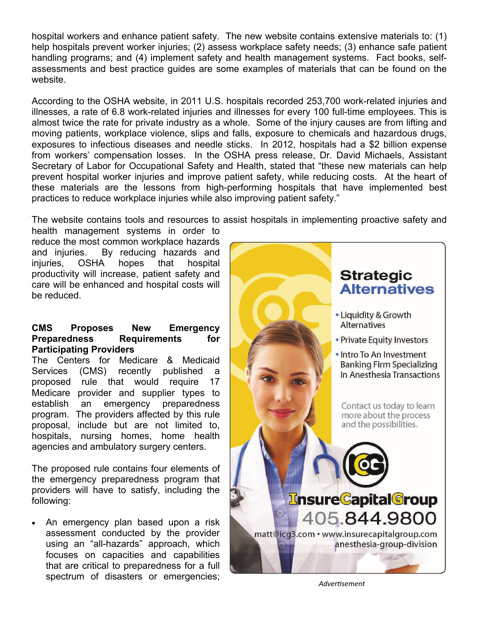hospital workers and enhance patient safety. The new website contains extensive materials to: (1) help hospitals prevent worker injuries; (2) assess workplace safety needs; (3) enhance safe patient handling programs; and (4) implement safety and health management systems. Fact books, selfassessments and best practice guides are some examples of materials that can be found on the website.

According to the OSHA website, in 2011 U.S. hospitals recorded 253,700 work-related injuries and illnesses, a rate of 6.8 work-related injuries and illnesses for every 100 full-time employees. This is almost twice the rate for private industry as a whole. Some of the injury causes are from lifting and moving patients, workplace violence, slips and falls, exposure to chemicals and hazardous drugs, exposures to infectious diseases and needle sticks. In 2012, hospitals had a \$2 billion expense from workers' compensation losses. In the OSHA press release, Dr. David Michaels, Assistant Secretary of Labor for Occupational Safety and Health, stated that "these new materials can help prevent hospital worker injuries and improve patient safety, while reducing costs. At the heart of these materials are the lessons from high-performing hospitals that have implemented best practices to reduce workplace injuries while also improving patient safety."

The website contains tools and resources to assist hospitals in implementing proactive safety and

health management systems in order to reduce the most common workplace hazards and injuries. By reducing hazards and injuries, OSHA hopes that hospital productivity will increase, patient safety and care will be enhanced and hospital costs will be reduced.

### **CMS Proposes New Emergency Preparedness Requirements for Participating Providers**

The Centers for Medicare & Medicaid Services (CMS) recently published a proposed rule that would require 17 Medicare provider and supplier types to establish an emergency preparedness program. The providers affected by this rule proposal, include but are not limited to, hospitals, nursing homes, home health agencies and ambulatory surgery centers.

The proposed rule contains four elements of the emergency preparedness program that providers will have to satisfy, including the following:

 An emergency plan based upon a risk assessment conducted by the provider using an "all-hazards" approach, which focuses on capacities and capabilities that are critical to preparedness for a full spectrum of disasters or emergencies; **Advertisement** 

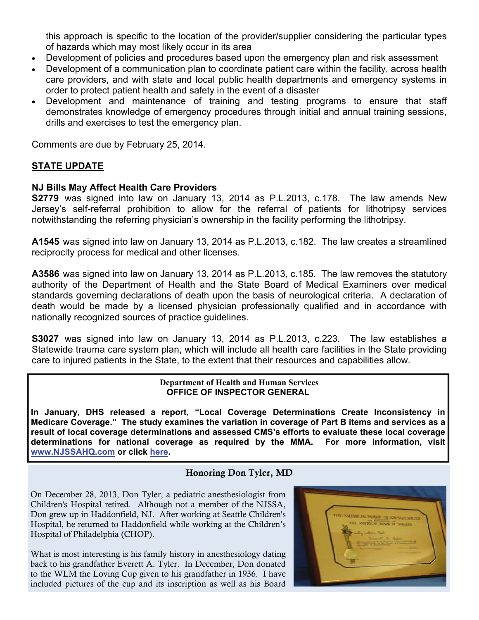this approach is specific to the location of the provider/supplier considering the particular types of hazards which may most likely occur in its area

- Development of policies and procedures based upon the emergency plan and risk assessment
- Development of a communication plan to coordinate patient care within the facility, across health care providers, and with state and local public health departments and emergency systems in order to protect patient health and safety in the event of a disaster
- Development and maintenance of training and testing programs to ensure that staff demonstrates knowledge of emergency procedures through initial and annual training sessions, drills and exercises to test the emergency plan.

Comments are due by February 25, 2014.

### **STATE UPDATE**

### **NJ Bills May Affect Health Care Providers**

**S2779** was signed into law on January 13, 2014 as P.L.2013, c.178. The law amends New Jersey's self-referral prohibition to allow for the referral of patients for lithotripsy services notwithstanding the referring physician's ownership in the facility performing the lithotripsy.

**A1545** was signed into law on January 13, 2014 as P.L.2013, c.182. The law creates a streamlined reciprocity process for medical and other licenses.

**A3586** was signed into law on January 13, 2014 as P.L.2013, c.185. The law removes the statutory authority of the Department of Health and the State Board of Medical Examiners over medical standards governing declarations of death upon the basis of neurological criteria. A declaration of death would be made by a licensed physician professionally qualified and in accordance with nationally recognized sources of practice guidelines.

**S3027** was signed into law on January 13, 2014 as P.L.2013, c.223. The law establishes a Statewide trauma care system plan, which will include all health care facilities in the State providing care to injured patients in the State, to the extent that their resources and capabilities allow.

#### **Department of Health and Human Services OFFICE OF INSPECTOR GENERAL**

**In January, DHS released a report, "Local Coverage Determinations Create Inconsistency in Medicare Coverage." The study examines the variation in coverage of Part B items and services as a result of local coverage determinations and assessed CMS's efforts to evaluate these local coverage determinations for national coverage as required by the MMA. For more information, visit [www.NJSSAHQ.com](http://www.njssahq.org/) or click [here](http://njssahq.org/wp-content/uploads/2014/02/LCDs-create-inconsistancy-in-Medicare-coverage-Jan2014.pdf).**

### Honoring Don Tyler, MD

On December 28, 2013, Don Tyler, a pediatric anesthesiologist from Children's Hospital retired. Although not a member of the NJSSA, Don grew up in Haddonfield, NJ. After working at Seattle Children's Hospital, he returned to Haddonfield while working at the Children's Hospital of Philadelphia (CHOP).

What is most interesting is his family history in anesthesiology dating back to his grandfather Everett A. Tyler. In December, Don donated to the WLM the Loving Cup given to his grandfather in 1936. I have included pictures of the cup and its inscription as well as his Board

| THE NATIONAL WORLD OF SNESINE WAYS<br>THE ANTIQUES WAND IT THEIRS<br><b>PERSONAL</b><br><b>SERVER MONTHS</b> |
|--------------------------------------------------------------------------------------------------------------|
|                                                                                                              |